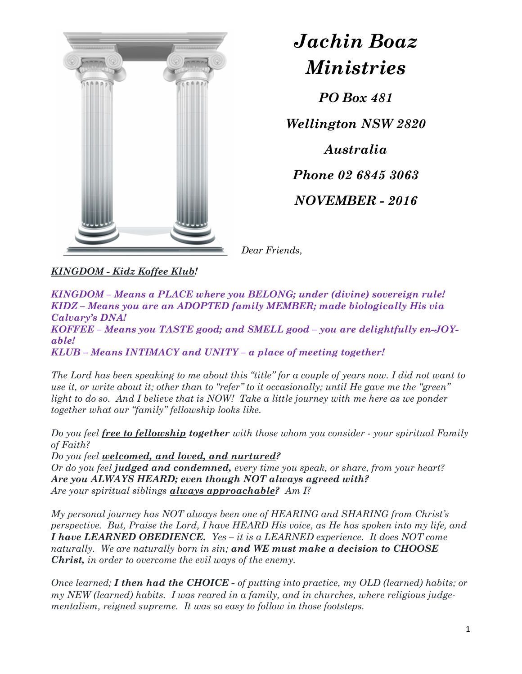

## Jachin Boaz Ministries

PO Box 481

Wellington NSW 2820 Australia Phone 02 6845 3063 NOVEMBER - 2016

Dear Friends,

KINGDOM - Kidz Koffee Klub!

KINGDOM – Means a PLACE where you BELONG; under (divine) sovereign rule! KIDZ – Means you are an ADOPTED family MEMBER; made biologically His via Calvary's DNA! KOFFEE – Means you TASTE good; and SMELL good – you are delightfully en-JOYable!

KLUB – Means INTIMACY and UNITY – a place of meeting together!

The Lord has been speaking to me about this "title" for a couple of years now. I did not want to use it, or write about it; other than to "refer" to it occasionally; until He gave me the "green" light to do so. And I believe that is NOW! Take a little journey with me here as we ponder together what our "family" fellowship looks like.

Do you feel free to fellowship together with those whom you consider - your spiritual Family of Faith?

Do you feel welcomed, and loved, and nurtured?

Or do you feel judged and condemned, every time you speak, or share, from your heart? Are you ALWAYS HEARD; even though NOT always agreed with? Are your spiritual siblings *always approachable?* Am I?

My personal journey has NOT always been one of HEARING and SHARING from Christ's perspective. But, Praise the Lord, I have HEARD His voice, as He has spoken into my life, and I have LEARNED OBEDIENCE. Yes – it is a LEARNED experience. It does NOT come naturally. We are naturally born in sin; and WE must make a decision to CHOOSE Christ, in order to overcome the evil ways of the enemy.

Once learned; I then had the CHOICE - of putting into practice, my OLD (learned) habits; or my NEW (learned) habits. I was reared in a family, and in churches, where religious judgementalism, reigned supreme. It was so easy to follow in those footsteps.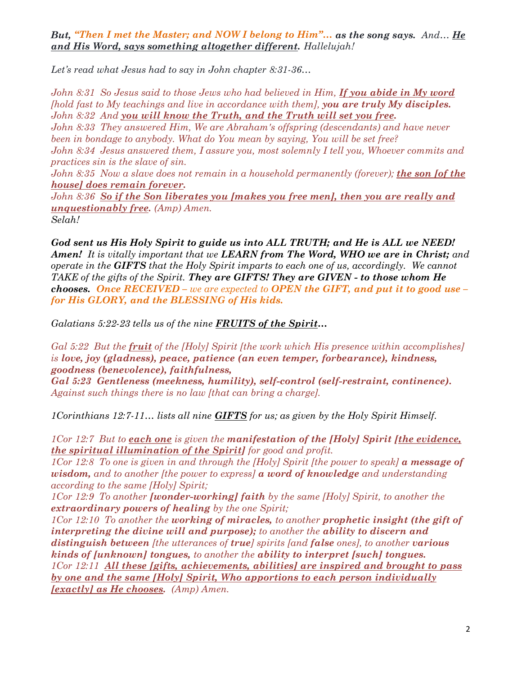But, "Then I met the Master; and NOW I belong to Him"... as the song says. And... He and His Word, says something altogether different. Hallelujah!

Let's read what Jesus had to say in John chapter 8:31-36...

John 8:31 So Jesus said to those Jews who had believed in Him, If you abide in My word [hold fast to My teachings and live in accordance with them], you are truly My disciples.<br>John 8:32 And you will know the Truth, and the Truth will set you free.<br>John 8:33 They answered Him, We are Abraham's offspring (des been in bondage to anybody. What do You mean by saying, You will be set free? John 8:34 Jesus answered them, I assure you, most solemnly I tell you, Whoever commits and practices sin is the slave of sin.

John 8:35 Now a slave does not remain in a household permanently (forever); the son [of the house] does remain forever.

John 8:36 So if the Son liberates you [makes you free men], then you are really and **unquestionably free.**  $(Amp)$   $Amen$ .

Selah!

God sent us His Holy Spirit to guide us into ALL TRUTH; and He is ALL we NEED! **Amen!** It is vitally important that we **LEARN** from The Word, WHO we are in Christ; and operate in the GIFTS that the Holy Spirit imparts to each one of us, accordingly. We cannot TAKE of the gifts of the Spirit. They are GIFTS! They are GIVEN - to those whom He chooses. Once RECEIVED – we are expected to OPEN the GIFT, and put it to good use – for His GLORY, and the BLESSING of His kids.

Galatians 5:22-23 tells us of the nine **FRUITS of the Spirit...** 

Gal 5:22 But the fruit of the [Holy] Spirit [the work which His presence within accomplishes] is love, joy (gladness), peace, patience (an even temper, forbearance), kindness, goodness (benevolence), faithfulness,

Gal 5:23 Gentleness (meekness, humility), self-control (self-restraint, continence). Against such things there is no law [that can bring a charge].

1Corinthians 12:7-11... lists all nine **GIFTS** for us; as given by the Holy Spirit Himself.

1Cor 12:7 But to each one is given the manifestation of the  $[Holy]$  Spirit [the evidence, the spiritual illumination of the Spirit] for good and profit.

1Cor 12:8 To one is given in and through the  $[Holy]$  Spirit [the power to speak] a message of wisdom, and to another [the power to express]  $\boldsymbol{a}$  word of knowledge and understanding according to the same [Holy] Spirit;

1Cor 12:9 To another **[wonder-working] faith** by the same [Holy] Spirit, to another the extraordinary powers of healing by the one Spirit;

1Cor 12:10 To another the working of miracles, to another prophetic insight (the gift of interpreting the divine will and purpose); to another the ability to discern and distinguish between [the utterances of true] spirits [and false ones], to another various kinds of [unknown] tongues, to another the ability to interpret [such] tongues.<br>1Cor 12:11 All these [gifts, achievements, abilities] are inspired and brought to pass by one and the same [Holy] Spirit, Who apportions to each person individually  $\textbf{[exactly] as He chooses. } (Amp) \textit{Amen.}$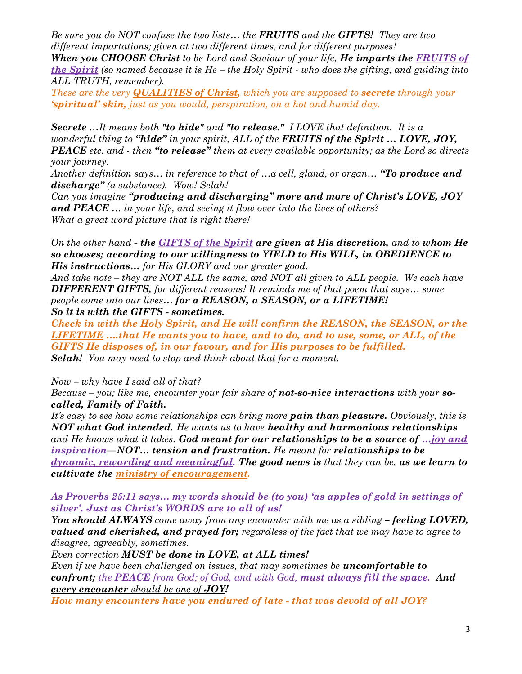Be sure you do NOT confuse the two lists... the **FRUITS** and the **GIFTS!** They are two different impartations; given at two different times, and for different purposes!

When you CHOOSE Christ to be Lord and Saviour of your life, He imparts the FRUITS of the Spirit (so named because it is  $He$  – the Holy Spirit - who does the gifting, and guiding into ALL TRUTH, remember).

These are the very **QUALITIES of Christ**, which you are supposed to **secrete** through your 'spiritual' skin, just as you would, perspiration, on a hot and humid day.

Secrete  $...$ It means both "to hide" and "to release." I LOVE that definition. It is a wonderful thing to "hide" in your spirit, ALL of the FRUITS of the Spirit  $\ldots$  LOVE, JOY, **PEACE** etc. and - then "to release" them at every available opportunity; as the Lord so directs your journey.

Another definition says... in reference to that of  $\ldots a$  cell, gland, or organ... "To produce and discharge" (a substance). Wow! Selah!

Can you imagine "producing and discharging" more and more of Christ's LOVE, JOY and PEACE ... in your life, and seeing it flow over into the lives of others? What a great word picture that is right there!

On the other hand - the **GIFTS of the Spirit are given at His discretion**, and to whom He so chooses; according to our willingness to YIELD to His WILL, in OBEDIENCE to His instructions… for His GLORY and our greater good.

And take note – they are NOT ALL the same; and NOT all given to ALL people. We each have **DIFFERENT GIFTS,** for different reasons! It reminds me of that poem that says... some people come into our lives... for a REASON, a SEASON, or a LIFETIME! So it is with the GIFTS - sometimes.

Check in with the Holy Spirit, and He will confirm the REASON, the SEASON, or the LIFETIME ….that He wants you to have, and to do, and to use, some, or ALL, of the GIFTS He disposes of, in our favour, and for His purposes to be fulfilled. Selah! You may need to stop and think about that for a moment.

Now – why have I said all of that?

Because – you; like me, encounter your fair share of **not-so-nice interactions** with your  $so$ called, Family of Faith.

It's easy to see how some relationships can bring more **pain than pleasure.** Obviously, this is  $NOT$  what God intended. He wants us to have healthy and harmonious relationships and He knows what it takes. God meant for our relationships to be a source of  $...$ joy and inspiration—NOT… tension and frustration. He meant for relationships to be  $\boldsymbol{d}$ ynamic, rewarding and meaningful. The good news is that they can be, as we learn to cultivate the ministry of encouragement.

As Proverbs 25:11 says… my words should be (to you) 'as apples of gold in settings of silver'. Just as Christ's WORDS are to all of us!

You should ALWAYS come away from any encounter with me as a sibling – feeling LOVED, valued and cherished, and prayed for; regardless of the fact that we may have to agree to disagree, agreeably, sometimes.

Even correction MUST be done in LOVE, at ALL times!

Even if we have been challenged on issues, that may sometimes be **uncomfortable to** confront; the PEACE from God; of God, and with God, must always fill the space. And every encounter should be one of **JOY!** 

How many encounters have you endured of late - that was devoid of all JOY?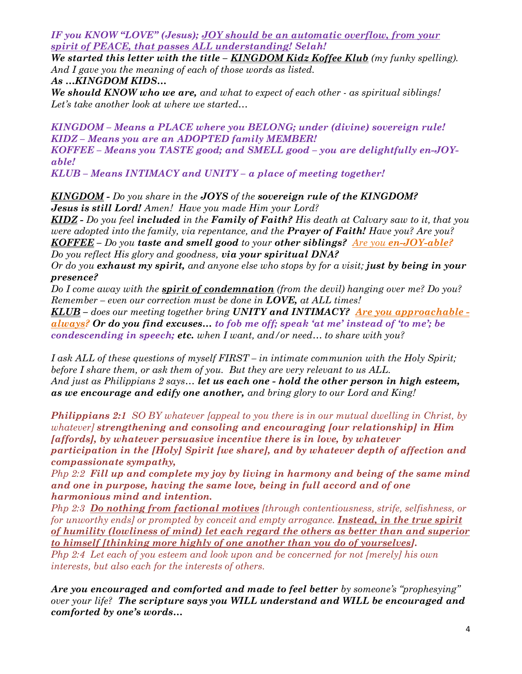IF you KNOW "LOVE" (Jesus); JOY should be an automatic overflow, from your spirit of PEACE, that passes ALL understanding! Selah!

We started this letter with the title –  $KINGDOM$  Kidz Koffee Klub (my funky spelling). And I gave you the meaning of each of those words as listed.

As …KINGDOM KIDS…

We should KNOW who we are, and what to expect of each other  $\cdot$  as spiritual siblings! Let's take another look at where we started...

KINGDOM – Means a PLACE where you BELONG; under (divine) sovereign rule! KIDZ – Means you are an ADOPTED family MEMBER! KOFFEE – Means you TASTE good; and SMELL good – you are delightfully en-JOYable!

KLUB – Means INTIMACY and UNITY – a place of meeting together!

KINGDOM - Do you share in the JOYS of the sovereign rule of the KINGDOM? **Jesus is still Lord!** Amen! Have you made Him your Lord?

 $KIDZ$  - Do you feel included in the Family of Faith? His death at Calvary saw to it, that you were adopted into the family, via repentance, and the **Prayer of Faith!** Have you? Are you? KOFFEE – Do you taste and smell good to your other siblings? Are you en-JOY-able? Do you reflect His glory and goodness, via your spiritual DNA?

Or do you exhaust my spirit, and anyone else who stops by for a visit; just by being in your presence?

Do I come away with the **spirit of condemnation** (from the devil) hanging over me? Do you? Remember – even our correction must be done in  $LOVE$ , at ALL times!

**KLUB** – does our meeting together bring UNITY and INTIMACY? Are you approachable  $\overline{\phantom{a}}$ always? Or do you find excuses… to fob me off; speak 'at me' instead of 'to me'; be condescending in speech; etc. when I want, and/or need… to share with you?

I ask ALL of these questions of myself FIRST – in intimate communion with the Holy Spirit; before I share them, or ask them of you. But they are very relevant to us ALL. And just as Philippians 2 says... let us each one - hold the other person in high esteem, as we encourage and edify one another, and bring glory to our Lord and King!

**Philippians 2:1** SO BY whatever [appeal to you there is in our mutual dwelling in Christ, by whatever] strengthening and consoling and encouraging [our relationship] in Him [affords], by whatever persuasive incentive there is in love, by whatever participation in the [Holy] Spirit [we share], and by whatever depth of affection and

compassionate sympathy,<br>Php 2:2 Fill up and complete my joy by living in harmony and being of the same mind and one in purpose, having the same love, being in full accord and of one

harmonious mind and intention.<br>Php 2:3 Do nothing from factional motives [through contentiousness, strife, selfishness, or for unworthy ends] or prompted by conceit and empty arrogance. **Instead, in the true spirit** of humility (lowliness of mind) let each regard the others as better than and superior to himself *[thinking more highly of one another than you do of yourselves]*.<br>Php 2:4 Let each of you esteem and look upon and be concerned for not *[merely] his own* interests, but also each for the interests of others.

Are you encouraged and comforted and made to feel better by someone's "prophesying" over your life? The scripture says you WILL understand and WILL be encouraged and comforted by one's words…